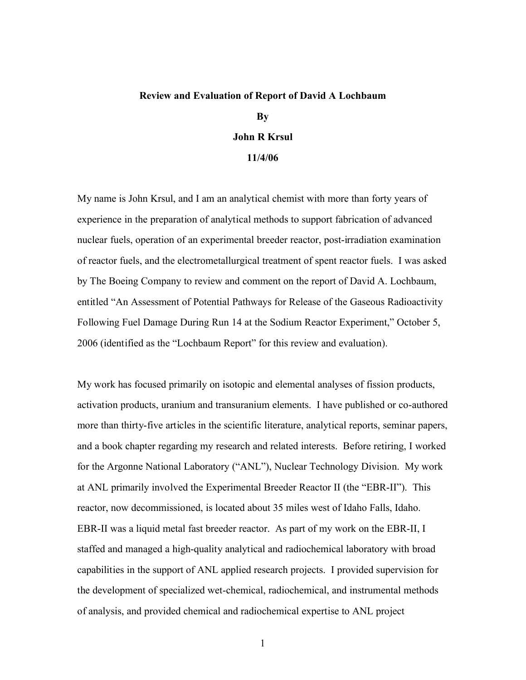# **Review and Evaluation of Report of David A Lochbaum By John R Krsul 11/4/06**

My name is John Krsul, and I am an analytical chemist with more than forty years of experience in the preparation of analytical methods to support fabrication of advanced nuclear fuels, operation of an experimental breeder reactor, post-irradiation examination of reactor fuels, and the electrometallurgical treatment of spent reactor fuels. I was asked by The Boeing Company to review and comment on the report of David A. Lochbaum, entitled "An Assessment of Potential Pathways for Release of the Gaseous Radioactivity Following Fuel Damage During Run 14 at the Sodium Reactor Experiment," October 5, 2006 (identified as the "Lochbaum Report" for this review and evaluation).

My work has focused primarily on isotopic and elemental analyses of fission products, activation products, uranium and transuranium elements. I have published or co-authored more than thirty-five articles in the scientific literature, analytical reports, seminar papers, and a book chapter regarding my research and related interests. Before retiring, I worked for the Argonne National Laboratory ("ANL"), Nuclear Technology Division. My work at ANL primarily involved the Experimental Breeder Reactor II (the "EBR-II"). This reactor, now decommissioned, is located about 35 miles west of Idaho Falls, Idaho. EBR-II was a liquid metal fast breeder reactor. As part of my work on the EBR-II, I staffed and managed a high-quality analytical and radiochemical laboratory with broad capabilities in the support of ANL applied research projects. I provided supervision for the development of specialized wet-chemical, radiochemical, and instrumental methods of analysis, and provided chemical and radiochemical expertise to ANL project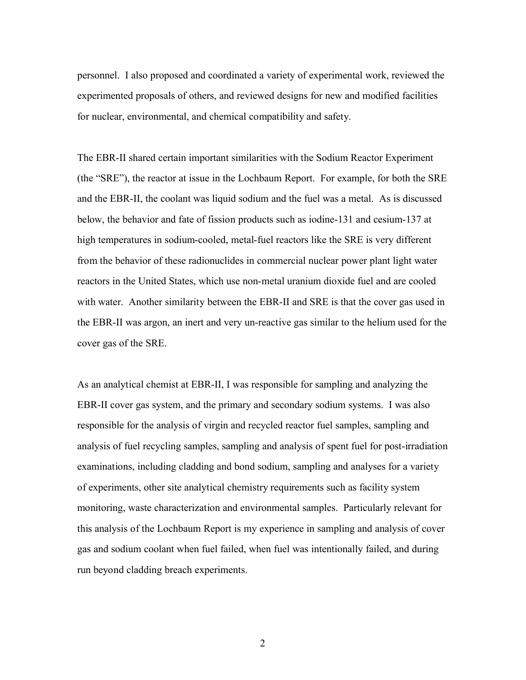personnel. I also proposed and coordinated a variety of experimental work, reviewed the experimented proposals of others, and reviewed designs for new and modified facilities for nuclear, environmental, and chemical compatibility and safety.

The EBR-II shared certain important similarities with the Sodium Reactor Experiment (the "SRE"), the reactor at issue in the Lochbaum Report. For example, for both the SRE and the EBR-II, the coolant was liquid sodium and the fuel was a metal. As is discussed below, the behavior and fate of fission products such as iodine-131 and cesium-137 at high temperatures in sodium-cooled, metal-fuel reactors like the SRE is very different from the behavior of these radionuclides in commercial nuclear power plant light water reactors in the United States, which use non-metal uranium dioxide fuel and are cooled with water. Another similarity between the EBR-II and SRE is that the cover gas used in the EBR-II was argon, an inert and very un-reactive gas similar to the helium used for the cover gas of the SRE.

As an analytical chemist at EBR-II, I was responsible for sampling and analyzing the EBR-II cover gas system, and the primary and secondary sodium systems. I was also responsible for the analysis of virgin and recycled reactor fuel samples, sampling and analysis of fuel recycling samples, sampling and analysis of spent fuel for post-irradiation examinations, including cladding and bond sodium, sampling and analyses for a variety of experiments, other site analytical chemistry requirements such as facility system monitoring, waste characterization and environmental samples. Particularly relevant for this analysis of the Lochbaum Report is my experience in sampling and analysis of cover gas and sodium coolant when fuel failed, when fuel was intentionally failed, and during run beyond cladding breach experiments.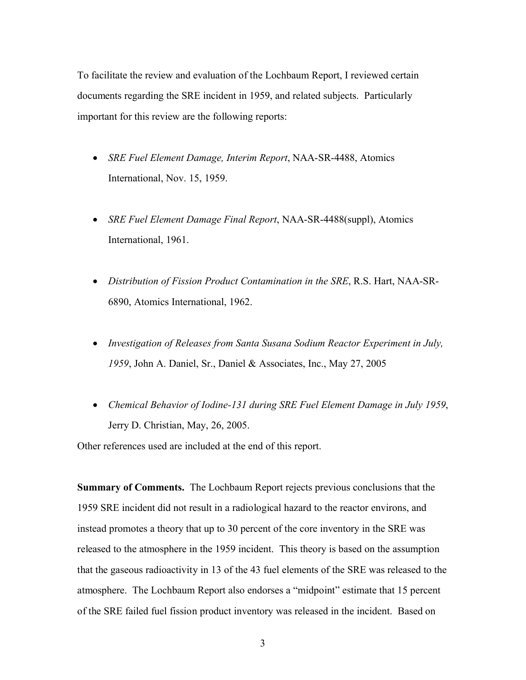To facilitate the review and evaluation of the Lochbaum Report, I reviewed certain documents regarding the SRE incident in 1959, and related subjects. Particularly important for this review are the following reports:

- · *SRE Fuel Element Damage, Interim Report*, NAA-SR-4488, Atomics International, Nov. 15, 1959.
- · *SRE Fuel Element Damage Final Report*, NAA-SR-4488(suppl), Atomics International, 1961.
- · *Distribution of Fission Product Contamination in the SRE*, R.S. Hart, NAA-SR-6890, Atomics International, 1962.
- · *Investigation of Releases from Santa Susana Sodium Reactor Experiment in July, 1959*, John A. Daniel, Sr., Daniel & Associates, Inc., May 27, 2005
- · *Chemical Behavior of Iodine-131 during SRE Fuel Element Damage in July 1959*, Jerry D. Christian, May, 26, 2005.

Other references used are included at the end of this report.

**Summary of Comments.** The Lochbaum Report rejects previous conclusions that the 1959 SRE incident did not result in a radiological hazard to the reactor environs, and instead promotes a theory that up to 30 percent of the core inventory in the SRE was released to the atmosphere in the 1959 incident. This theory is based on the assumption that the gaseous radioactivity in 13 of the 43 fuel elements of the SRE was released to the atmosphere. The Lochbaum Report also endorses a "midpoint" estimate that 15 percent of the SRE failed fuel fission product inventory was released in the incident. Based on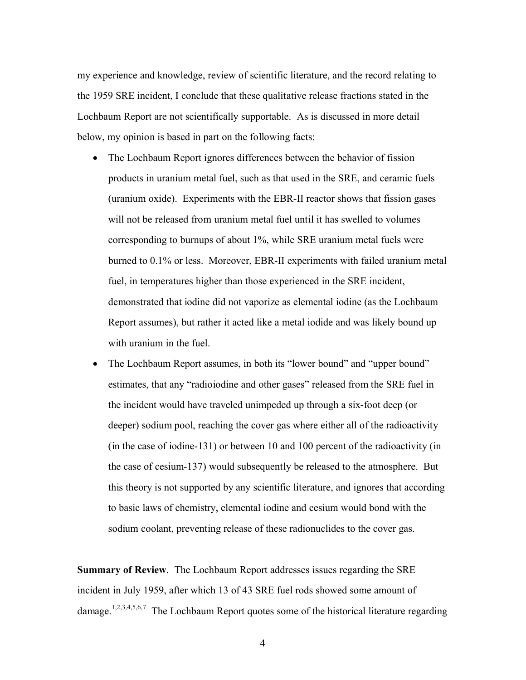my experience and knowledge, review of scientific literature, and the record relating to the 1959 SRE incident, I conclude that these qualitative release fractions stated in the Lochbaum Report are not scientifically supportable. As is discussed in more detail below, my opinion is based in part on the following facts:

- The Lochbaum Report ignores differences between the behavior of fission products in uranium metal fuel, such as that used in the SRE, and ceramic fuels (uranium oxide). Experiments with the EBR-II reactor shows that fission gases will not be released from uranium metal fuel until it has swelled to volumes corresponding to burnups of about 1%, while SRE uranium metal fuels were burned to 0.1% or less. Moreover, EBR-II experiments with failed uranium metal fuel, in temperatures higher than those experienced in the SRE incident, demonstrated that iodine did not vaporize as elemental iodine (as the Lochbaum Report assumes), but rather it acted like a metal iodide and was likely bound up with uranium in the fuel.
- The Lochbaum Report assumes, in both its "lower bound" and "upper bound" estimates, that any "radioiodine and other gases" released from the SRE fuel in the incident would have traveled unimpeded up through a six-foot deep (or deeper) sodium pool, reaching the cover gas where either all of the radioactivity (in the case of iodine-131) or between 10 and 100 percent of the radioactivity (in the case of cesium-137) would subsequently be released to the atmosphere. But this theory is not supported by any scientific literature, and ignores that according to basic laws of chemistry, elemental iodine and cesium would bond with the sodium coolant, preventing release of these radionuclides to the cover gas.

**Summary of Review**. The Lochbaum Report addresses issues regarding the SRE incident in July 1959, after which 13 of 43 SRE fuel rods showed some amount of damage.<sup>1,2,3,4,5,6,7</sup> The Lochbaum Report quotes some of the historical literature regarding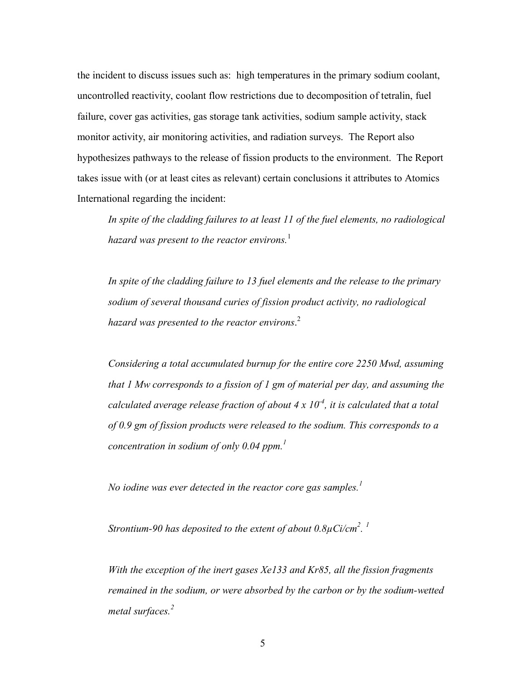the incident to discuss issues such as: high temperatures in the primary sodium coolant, uncontrolled reactivity, coolant flow restrictions due to decomposition of tetralin, fuel failure, cover gas activities, gas storage tank activities, sodium sample activity, stack monitor activity, air monitoring activities, and radiation surveys. The Report also hypothesizes pathways to the release of fission products to the environment. The Report takes issue with (or at least cites as relevant) certain conclusions it attributes to Atomics International regarding the incident:

*In spite of the cladding failures to at least 11 of the fuel elements, no radiological hazard was present to the reactor environs.*<sup>1</sup>

*In spite of the cladding failure to 13 fuel elements and the release to the primary sodium of several thousand curies of fission product activity, no radiological hazard was presented to the reactor environs*. 2

*Considering a total accumulated burnup for the entire core 2250 Mwd, assuming that 1 Mw corresponds to a fission of 1 gm of material per day, and assuming the calculated average release fraction of about 4 x 10-4 , it is calculated that a total of 0.9 gm of fission products were released to the sodium. This corresponds to a concentration in sodium of only 0.04 ppm.<sup>1</sup>*

*No iodine was ever detected in the reactor core gas samples.<sup>1</sup>*

Strontium-90 has deposited to the extent of about  $0.8\mu\mathrm{Ci/cm}^2$ . <sup>1</sup>

*With the exception of the inert gases Xe133 and Kr85, all the fission fragments remained in the sodium, or were absorbed by the carbon or by the sodium-wetted metal surfaces.<sup>2</sup>*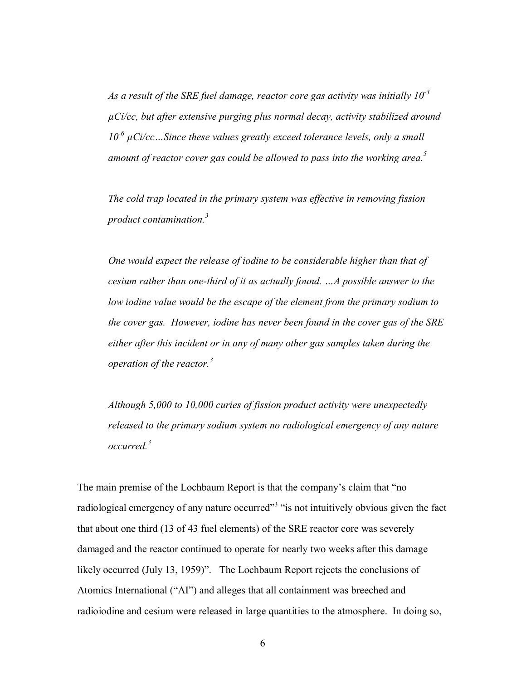*As a result of the SRE fuel damage, reactor core gas activity was initially 10-3 µCi/cc, but after extensive purging plus normal decay, activity stabilized around 10-6 µCi/cc…Since these values greatly exceed tolerance levels, only a small amount of reactor cover gas could be allowed to pass into the working area.<sup>5</sup>*

*The cold trap located in the primary system was effective in removing fission product contamination.<sup>3</sup>*

*One would expect the release of iodine to be considerable higher than that of cesium rather than one-third of it as actually found. …A possible answer to the low iodine value would be the escape of the element from the primary sodium to the cover gas. However, iodine has never been found in the cover gas of the SRE either after this incident or in any of many other gas samples taken during the operation of the reactor.<sup>3</sup>*

*Although 5,000 to 10,000 curies of fission product activity were unexpectedly released to the primary sodium system no radiological emergency of any nature occurred.<sup>3</sup>*

The main premise of the Lochbaum Report is that the company's claim that "no radiological emergency of any nature occurred"<sup>3</sup> "is not intuitively obvious given the fact that about one third (13 of 43 fuel elements) of the SRE reactor core was severely damaged and the reactor continued to operate for nearly two weeks after this damage likely occurred (July 13, 1959)". The Lochbaum Report rejects the conclusions of Atomics International ("AI") and alleges that all containment was breeched and radioiodine and cesium were released in large quantities to the atmosphere. In doing so,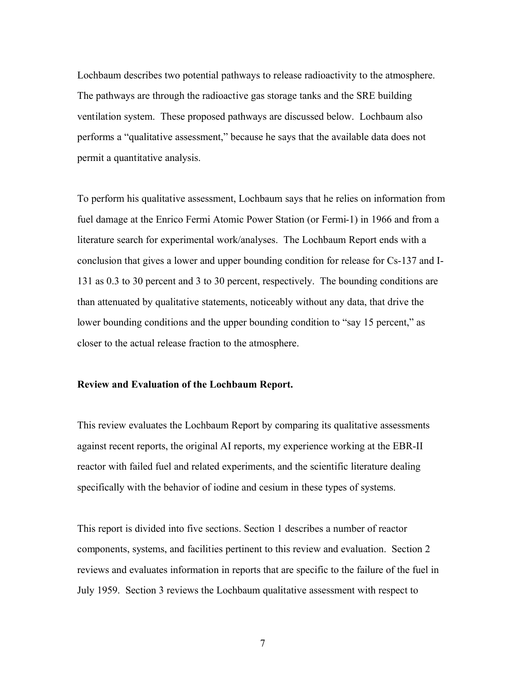Lochbaum describes two potential pathways to release radioactivity to the atmosphere. The pathways are through the radioactive gas storage tanks and the SRE building ventilation system. These proposed pathways are discussed below. Lochbaum also performs a "qualitative assessment," because he says that the available data does not permit a quantitative analysis.

To perform his qualitative assessment, Lochbaum says that he relies on information from fuel damage at the Enrico Fermi Atomic Power Station (or Fermi-1) in 1966 and from a literature search for experimental work/analyses. The Lochbaum Report ends with a conclusion that gives a lower and upper bounding condition for release for Cs-137 and I-131 as 0.3 to 30 percent and 3 to 30 percent, respectively. The bounding conditions are than attenuated by qualitative statements, noticeably without any data, that drive the lower bounding conditions and the upper bounding condition to "say 15 percent," as closer to the actual release fraction to the atmosphere.

### **Review and Evaluation of the Lochbaum Report.**

This review evaluates the Lochbaum Report by comparing its qualitative assessments against recent reports, the original AI reports, my experience working at the EBR-II reactor with failed fuel and related experiments, and the scientific literature dealing specifically with the behavior of iodine and cesium in these types of systems.

This report is divided into five sections. Section 1 describes a number of reactor components, systems, and facilities pertinent to this review and evaluation. Section 2 reviews and evaluates information in reports that are specific to the failure of the fuel in July 1959. Section 3 reviews the Lochbaum qualitative assessment with respect to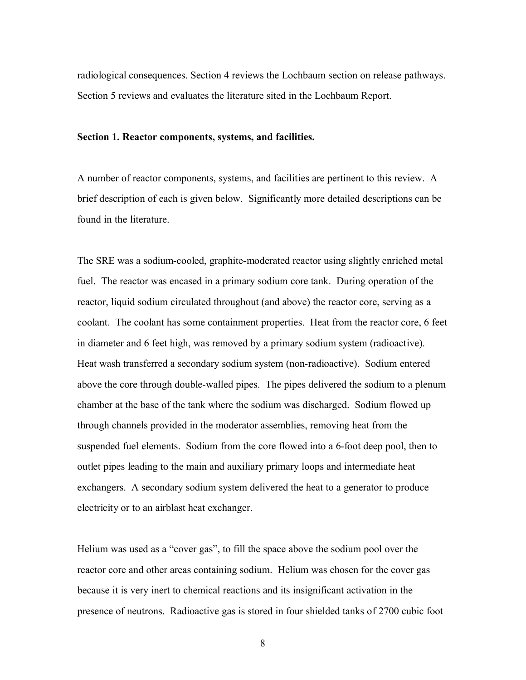radiological consequences. Section 4 reviews the Lochbaum section on release pathways. Section 5 reviews and evaluates the literature sited in the Lochbaum Report.

## **Section 1. Reactor components, systems, and facilities.**

A number of reactor components, systems, and facilities are pertinent to this review. A brief description of each is given below. Significantly more detailed descriptions can be found in the literature.

The SRE was a sodium-cooled, graphite-moderated reactor using slightly enriched metal fuel. The reactor was encased in a primary sodium core tank. During operation of the reactor, liquid sodium circulated throughout (and above) the reactor core, serving as a coolant. The coolant has some containment properties. Heat from the reactor core, 6 feet in diameter and 6 feet high, was removed by a primary sodium system (radioactive). Heat wash transferred a secondary sodium system (non-radioactive). Sodium entered above the core through double-walled pipes. The pipes delivered the sodium to a plenum chamber at the base of the tank where the sodium was discharged. Sodium flowed up through channels provided in the moderator assemblies, removing heat from the suspended fuel elements. Sodium from the core flowed into a 6-foot deep pool, then to outlet pipes leading to the main and auxiliary primary loops and intermediate heat exchangers. A secondary sodium system delivered the heat to a generator to produce electricity or to an airblast heat exchanger.

Helium was used as a "cover gas", to fill the space above the sodium pool over the reactor core and other areas containing sodium. Helium was chosen for the cover gas because it is very inert to chemical reactions and its insignificant activation in the presence of neutrons. Radioactive gas is stored in four shielded tanks of 2700 cubic foot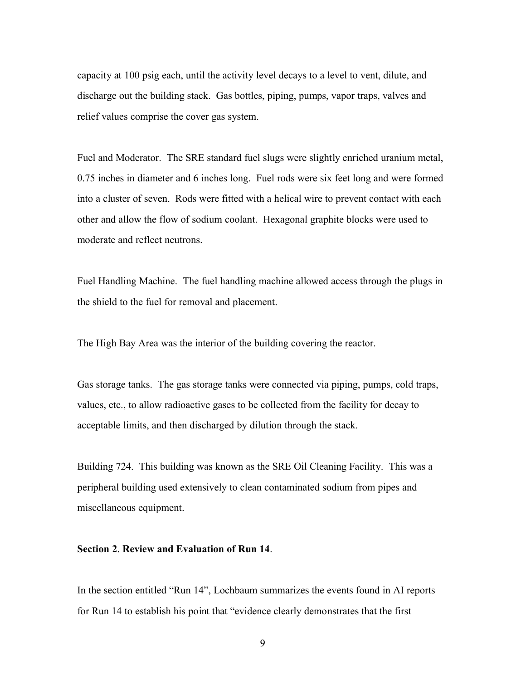capacity at 100 psig each, until the activity level decays to a level to vent, dilute, and discharge out the building stack. Gas bottles, piping, pumps, vapor traps, valves and relief values comprise the cover gas system.

Fuel and Moderator. The SRE standard fuel slugs were slightly enriched uranium metal, 0.75 inches in diameter and 6 inches long. Fuel rods were six feet long and were formed into a cluster of seven. Rods were fitted with a helical wire to prevent contact with each other and allow the flow of sodium coolant. Hexagonal graphite blocks were used to moderate and reflect neutrons.

Fuel Handling Machine. The fuel handling machine allowed access through the plugs in the shield to the fuel for removal and placement.

The High Bay Area was the interior of the building covering the reactor.

Gas storage tanks. The gas storage tanks were connected via piping, pumps, cold traps, values, etc., to allow radioactive gases to be collected from the facility for decay to acceptable limits, and then discharged by dilution through the stack.

Building 724. This building was known as the SRE Oil Cleaning Facility. This was a peripheral building used extensively to clean contaminated sodium from pipes and miscellaneous equipment.

#### **Section 2**. **Review and Evaluation of Run 14**.

In the section entitled "Run 14", Lochbaum summarizes the events found in AI reports for Run 14 to establish his point that "evidence clearly demonstrates that the first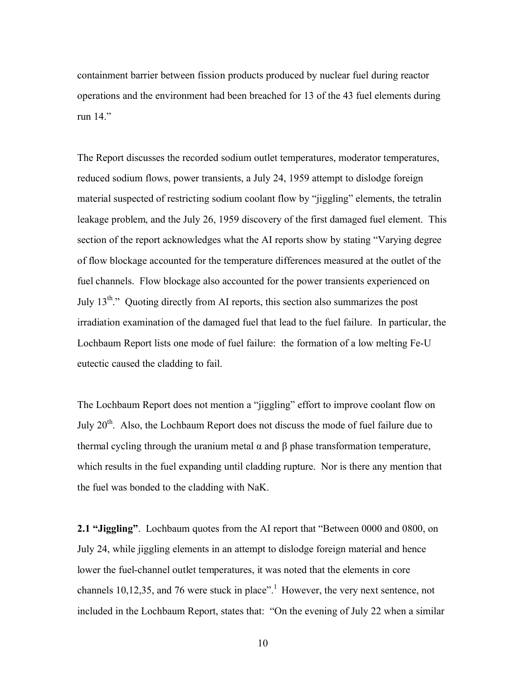containment barrier between fission products produced by nuclear fuel during reactor operations and the environment had been breached for 13 of the 43 fuel elements during run 14."

The Report discusses the recorded sodium outlet temperatures, moderator temperatures, reduced sodium flows, power transients, a July 24, 1959 attempt to dislodge foreign material suspected of restricting sodium coolant flow by "jiggling" elements, the tetralin leakage problem, and the July 26, 1959 discovery of the first damaged fuel element. This section of the report acknowledges what the AI reports show by stating "Varying degree of flow blockage accounted for the temperature differences measured at the outlet of the fuel channels. Flow blockage also accounted for the power transients experienced on July  $13^{th}$ ." Quoting directly from AI reports, this section also summarizes the post irradiation examination of the damaged fuel that lead to the fuel failure. In particular, the Lochbaum Report lists one mode of fuel failure: the formation of a low melting Fe-U eutectic caused the cladding to fail.

The Lochbaum Report does not mention a "jiggling" effort to improve coolant flow on July  $20<sup>th</sup>$ . Also, the Lochbaum Report does not discuss the mode of fuel failure due to thermal cycling through the uranium metal α and β phase transformation temperature, which results in the fuel expanding until cladding rupture. Nor is there any mention that the fuel was bonded to the cladding with NaK.

**2.1 "Jiggling"**. Lochbaum quotes from the AI report that "Between 0000 and 0800, on July 24, while jiggling elements in an attempt to dislodge foreign material and hence lower the fuel-channel outlet temperatures, it was noted that the elements in core channels 10,12,35, and 76 were stuck in place".<sup>1</sup> However, the very next sentence, not included in the Lochbaum Report, states that: "On the evening of July 22 when a similar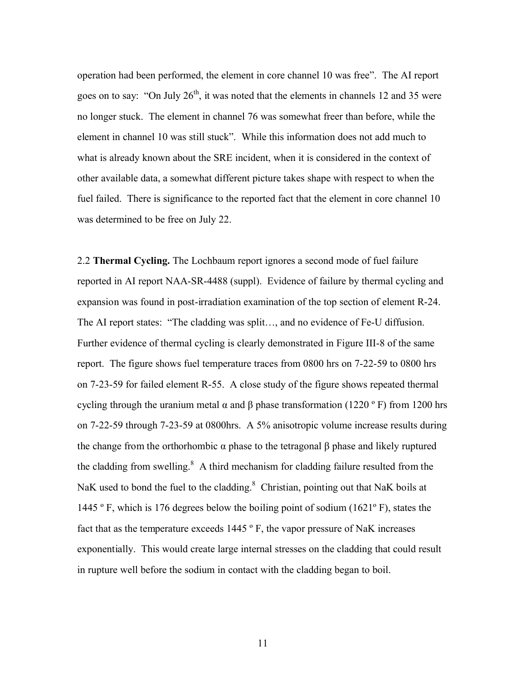operation had been performed, the element in core channel 10 was free". The AI report goes on to say: "On July  $26<sup>th</sup>$ , it was noted that the elements in channels 12 and 35 were no longer stuck. The element in channel 76 was somewhat freer than before, while the element in channel 10 was still stuck". While this information does not add much to what is already known about the SRE incident, when it is considered in the context of other available data, a somewhat different picture takes shape with respect to when the fuel failed. There is significance to the reported fact that the element in core channel 10 was determined to be free on July 22.

2.2 **Thermal Cycling.** The Lochbaum report ignores a second mode of fuel failure reported in AI report NAA-SR-4488 (suppl). Evidence of failure by thermal cycling and expansion was found in post-irradiation examination of the top section of element R-24. The AI report states: "The cladding was split…, and no evidence of Fe-U diffusion. Further evidence of thermal cycling is clearly demonstrated in Figure III-8 of the same report. The figure shows fuel temperature traces from 0800 hrs on 7-22-59 to 0800 hrs on 7-23-59 for failed element R-55. A close study of the figure shows repeated thermal cycling through the uranium metal α and β phase transformation (1220 ° F) from 1200 hrs on 7-22-59 through 7-23-59 at 0800hrs. A 5% anisotropic volume increase results during the change from the orthorhombic  $α$  phase to the tetragonal  $β$  phase and likely ruptured the cladding from swelling.<sup>8</sup> A third mechanism for cladding failure resulted from the NaK used to bond the fuel to the cladding. $8$  Christian, pointing out that NaK boils at 1445 º F, which is 176 degrees below the boiling point of sodium (1621º F), states the fact that as the temperature exceeds  $1445$  ° F, the vapor pressure of NaK increases exponentially. This would create large internal stresses on the cladding that could result in rupture well before the sodium in contact with the cladding began to boil.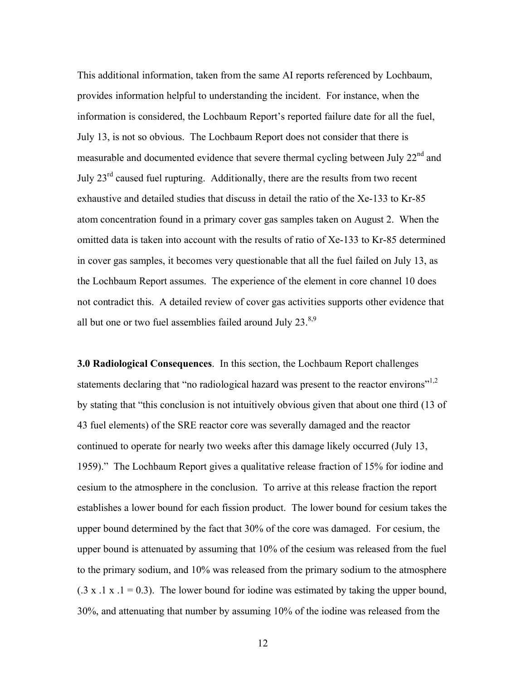This additional information, taken from the same AI reports referenced by Lochbaum, provides information helpful to understanding the incident. For instance, when the information is considered, the Lochbaum Report's reported failure date for all the fuel, July 13, is not so obvious. The Lochbaum Report does not consider that there is measurable and documented evidence that severe thermal cycling between July 22<sup>nd</sup> and July 23rd caused fuel rupturing. Additionally, there are the results from two recent exhaustive and detailed studies that discuss in detail the ratio of the Xe-133 to Kr-85 atom concentration found in a primary cover gas samples taken on August 2. When the omitted data is taken into account with the results of ratio of Xe-133 to Kr-85 determined in cover gas samples, it becomes very questionable that all the fuel failed on July 13, as the Lochbaum Report assumes. The experience of the element in core channel 10 does not contradict this. A detailed review of cover gas activities supports other evidence that all but one or two fuel assemblies failed around July  $23.^{8,9}$ 

**3.0 Radiological Consequences**. In this section, the Lochbaum Report challenges statements declaring that "no radiological hazard was present to the reactor environs"<sup>1,2</sup> by stating that "this conclusion is not intuitively obvious given that about one third (13 of 43 fuel elements) of the SRE reactor core was severally damaged and the reactor continued to operate for nearly two weeks after this damage likely occurred (July 13, 1959)." The Lochbaum Report gives a qualitative release fraction of 15% for iodine and cesium to the atmosphere in the conclusion. To arrive at this release fraction the report establishes a lower bound for each fission product. The lower bound for cesium takes the upper bound determined by the fact that 30% of the core was damaged. For cesium, the upper bound is attenuated by assuming that 10% of the cesium was released from the fuel to the primary sodium, and 10% was released from the primary sodium to the atmosphere  $(0.3 \times 0.1 \times 0.1) = 0.3$ . The lower bound for iodine was estimated by taking the upper bound, 30%, and attenuating that number by assuming 10% of the iodine was released from the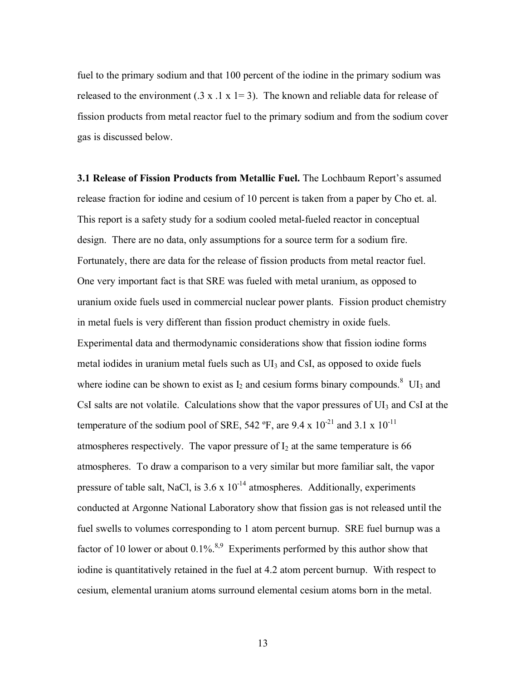fuel to the primary sodium and that 100 percent of the iodine in the primary sodium was released to the environment (.3 x .1 x 1 = 3). The known and reliable data for release of fission products from metal reactor fuel to the primary sodium and from the sodium cover gas is discussed below.

**3.1 Release of Fission Products from Metallic Fuel.** The Lochbaum Report's assumed release fraction for iodine and cesium of 10 percent is taken from a paper by Cho et. al. This report is a safety study for a sodium cooled metal-fueled reactor in conceptual design. There are no data, only assumptions for a source term for a sodium fire. Fortunately, there are data for the release of fission products from metal reactor fuel. One very important fact is that SRE was fueled with metal uranium, as opposed to uranium oxide fuels used in commercial nuclear power plants. Fission product chemistry in metal fuels is very different than fission product chemistry in oxide fuels. Experimental data and thermodynamic considerations show that fission iodine forms metal iodides in uranium metal fuels such as  $UI<sub>3</sub>$  and CsI, as opposed to oxide fuels where iodine can be shown to exist as  $I_2$  and cesium forms binary compounds.<sup>8</sup> UI<sub>3</sub> and CsI salts are not volatile. Calculations show that the vapor pressures of  $UI<sub>3</sub>$  and CsI at the temperature of the sodium pool of SRE, 542 °F, are 9.4 x  $10^{-21}$  and 3.1 x  $10^{-11}$ atmospheres respectively. The vapor pressure of  $I_2$  at the same temperature is 66 atmospheres. To draw a comparison to a very similar but more familiar salt, the vapor pressure of table salt, NaCl, is  $3.6 \times 10^{-14}$  atmospheres. Additionally, experiments conducted at Argonne National Laboratory show that fission gas is not released until the fuel swells to volumes corresponding to 1 atom percent burnup. SRE fuel burnup was a factor of 10 lower or about  $0.1\%$ .<sup>8,9</sup> Experiments performed by this author show that iodine is quantitatively retained in the fuel at 4.2 atom percent burnup. With respect to cesium, elemental uranium atoms surround elemental cesium atoms born in the metal.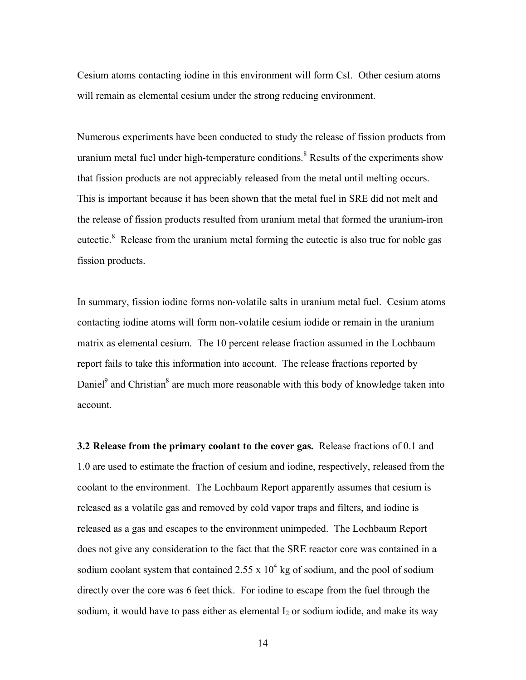Cesium atoms contacting iodine in this environment will form CsI. Other cesium atoms will remain as elemental cesium under the strong reducing environment.

Numerous experiments have been conducted to study the release of fission products from uranium metal fuel under high-temperature conditions. $8$  Results of the experiments show that fission products are not appreciably released from the metal until melting occurs. This is important because it has been shown that the metal fuel in SRE did not melt and the release of fission products resulted from uranium metal that formed the uranium-iron eutectic.<sup>8</sup> Release from the uranium metal forming the eutectic is also true for noble gas fission products.

In summary, fission iodine forms non-volatile salts in uranium metal fuel. Cesium atoms contacting iodine atoms will form non-volatile cesium iodide or remain in the uranium matrix as elemental cesium. The 10 percent release fraction assumed in the Lochbaum report fails to take this information into account. The release fractions reported by Daniel<sup>9</sup> and Christian<sup>8</sup> are much more reasonable with this body of knowledge taken into account.

**3.2 Release from the primary coolant to the cover gas.** Release fractions of 0.1 and 1.0 are used to estimate the fraction of cesium and iodine, respectively, released from the coolant to the environment. The Lochbaum Report apparently assumes that cesium is released as a volatile gas and removed by cold vapor traps and filters, and iodine is released as a gas and escapes to the environment unimpeded. The Lochbaum Report does not give any consideration to the fact that the SRE reactor core was contained in a sodium coolant system that contained 2.55 x  $10^4$  kg of sodium, and the pool of sodium directly over the core was 6 feet thick. For iodine to escape from the fuel through the sodium, it would have to pass either as elemental  $I_2$  or sodium iodide, and make its way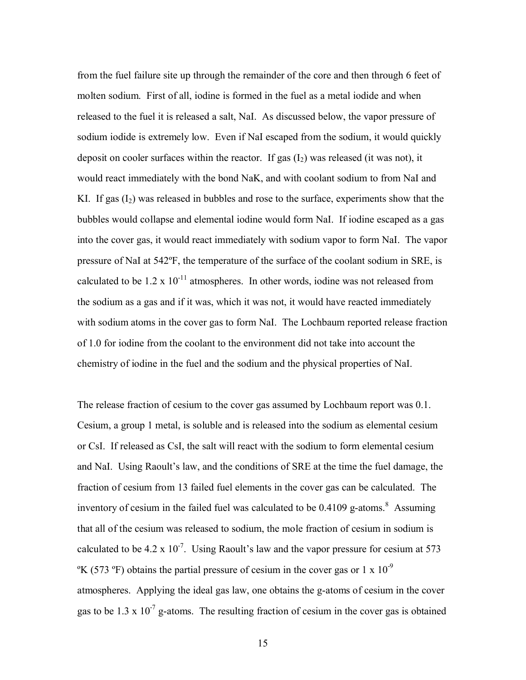from the fuel failure site up through the remainder of the core and then through 6 feet of molten sodium. First of all, iodine is formed in the fuel as a metal iodide and when released to the fuel it is released a salt, NaI. As discussed below, the vapor pressure of sodium iodide is extremely low. Even if NaI escaped from the sodium, it would quickly deposit on cooler surfaces within the reactor. If gas  $(I_2)$  was released (it was not), it would react immediately with the bond NaK, and with coolant sodium to from NaI and KI. If gas  $(I_2)$  was released in bubbles and rose to the surface, experiments show that the bubbles would collapse and elemental iodine would form NaI. If iodine escaped as a gas into the cover gas, it would react immediately with sodium vapor to form NaI. The vapor pressure of NaI at 542ºF, the temperature of the surface of the coolant sodium in SRE, is calculated to be  $1.2 \times 10^{-11}$  atmospheres. In other words, iodine was not released from the sodium as a gas and if it was, which it was not, it would have reacted immediately with sodium atoms in the cover gas to form NaI. The Lochbaum reported release fraction of 1.0 for iodine from the coolant to the environment did not take into account the chemistry of iodine in the fuel and the sodium and the physical properties of NaI.

The release fraction of cesium to the cover gas assumed by Lochbaum report was 0.1. Cesium, a group 1 metal, is soluble and is released into the sodium as elemental cesium or CsI. If released as CsI, the salt will react with the sodium to form elemental cesium and NaI. Using Raoult's law, and the conditions of SRE at the time the fuel damage, the fraction of cesium from 13 failed fuel elements in the cover gas can be calculated. The inventory of cesium in the failed fuel was calculated to be  $0.4109$  g-atoms.<sup>8</sup> Assuming that all of the cesium was released to sodium, the mole fraction of cesium in sodium is calculated to be 4.2 x  $10^{-7}$ . Using Raoult's law and the vapor pressure for cesium at 573 <sup>o</sup>K (573 <sup>o</sup>F) obtains the partial pressure of cesium in the cover gas or 1 x 10<sup>-9</sup> atmospheres. Applying the ideal gas law, one obtains the g-atoms of cesium in the cover gas to be 1.3 x  $10^{-7}$  g-atoms. The resulting fraction of cesium in the cover gas is obtained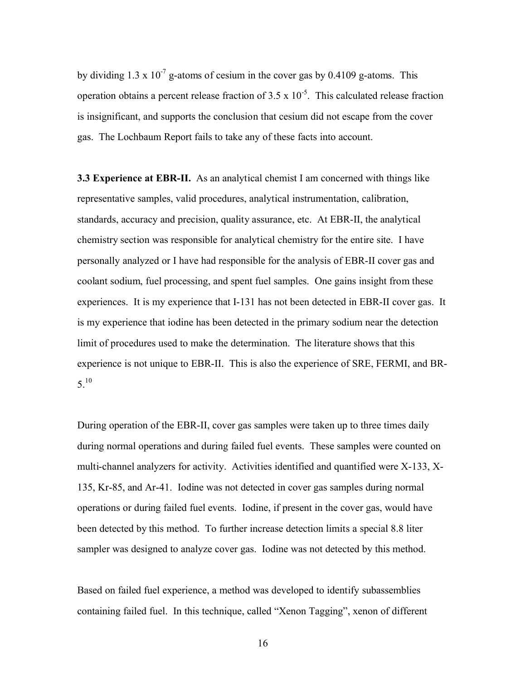by dividing 1.3 x  $10^{-7}$  g-atoms of cesium in the cover gas by 0.4109 g-atoms. This operation obtains a percent release fraction of  $3.5 \times 10^{-5}$ . This calculated release fraction is insignificant, and supports the conclusion that cesium did not escape from the cover gas. The Lochbaum Report fails to take any of these facts into account.

**3.3 Experience at EBR-II.** As an analytical chemist I am concerned with things like representative samples, valid procedures, analytical instrumentation, calibration, standards, accuracy and precision, quality assurance, etc. At EBR-II, the analytical chemistry section was responsible for analytical chemistry for the entire site. I have personally analyzed or I have had responsible for the analysis of EBR-II cover gas and coolant sodium, fuel processing, and spent fuel samples. One gains insight from these experiences. It is my experience that I-131 has not been detected in EBR-II cover gas. It is my experience that iodine has been detected in the primary sodium near the detection limit of procedures used to make the determination. The literature shows that this experience is not unique to EBR-II. This is also the experience of SRE, FERMI, and BR- $5^{10}$ 

During operation of the EBR-II, cover gas samples were taken up to three times daily during normal operations and during failed fuel events. These samples were counted on multi-channel analyzers for activity. Activities identified and quantified were X-133, X-135, Kr-85, and Ar-41. Iodine was not detected in cover gas samples during normal operations or during failed fuel events. Iodine, if present in the cover gas, would have been detected by this method. To further increase detection limits a special 8.8 liter sampler was designed to analyze cover gas. Iodine was not detected by this method.

Based on failed fuel experience, a method was developed to identify subassemblies containing failed fuel. In this technique, called "Xenon Tagging", xenon of different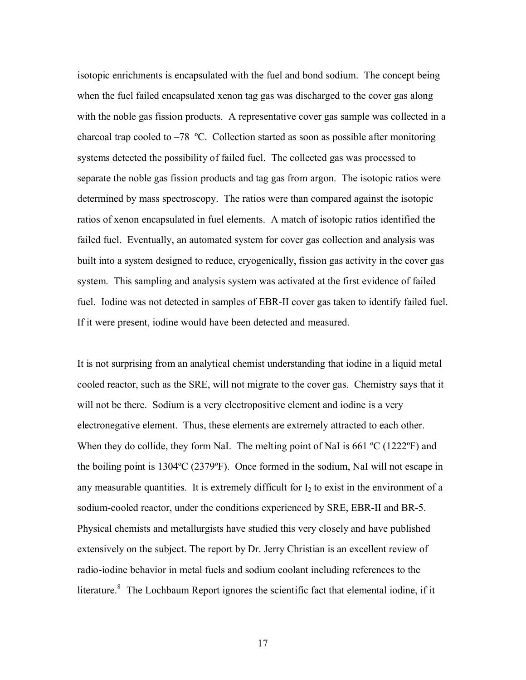isotopic enrichments is encapsulated with the fuel and bond sodium. The concept being when the fuel failed encapsulated xenon tag gas was discharged to the cover gas along with the noble gas fission products. A representative cover gas sample was collected in a charcoal trap cooled to  $-78$  °C. Collection started as soon as possible after monitoring systems detected the possibility of failed fuel. The collected gas was processed to separate the noble gas fission products and tag gas from argon. The isotopic ratios were determined by mass spectroscopy. The ratios were than compared against the isotopic ratios of xenon encapsulated in fuel elements. A match of isotopic ratios identified the failed fuel. Eventually, an automated system for cover gas collection and analysis was built into a system designed to reduce, cryogenically, fission gas activity in the cover gas system. This sampling and analysis system was activated at the first evidence of failed fuel. Iodine was not detected in samples of EBR-II cover gas taken to identify failed fuel. If it were present, iodine would have been detected and measured.

It is not surprising from an analytical chemist understanding that iodine in a liquid metal cooled reactor, such as the SRE, will not migrate to the cover gas. Chemistry says that it will not be there. Sodium is a very electropositive element and iodine is a very electronegative element. Thus, these elements are extremely attracted to each other. When they do collide, they form NaI. The melting point of NaI is 661 °C (1222°F) and the boiling point is 1304ºC (2379ºF). Once formed in the sodium, NaI will not escape in any measurable quantities. It is extremely difficult for  $I_2$  to exist in the environment of a sodium-cooled reactor, under the conditions experienced by SRE, EBR-II and BR-5. Physical chemists and metallurgists have studied this very closely and have published extensively on the subject. The report by Dr. Jerry Christian is an excellent review of radio-iodine behavior in metal fuels and sodium coolant including references to the literature.<sup>8</sup> The Lochbaum Report ignores the scientific fact that elemental iodine, if it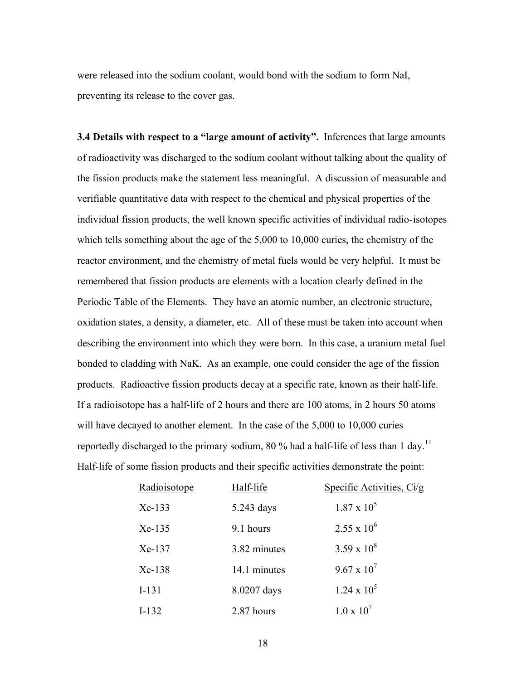were released into the sodium coolant, would bond with the sodium to form NaI, preventing its release to the cover gas.

**3.4 Details with respect to a "large amount of activity".** Inferences that large amounts of radioactivity was discharged to the sodium coolant without talking about the quality of the fission products make the statement less meaningful. A discussion of measurable and verifiable quantitative data with respect to the chemical and physical properties of the individual fission products, the well known specific activities of individual radio-isotopes which tells something about the age of the 5,000 to 10,000 curies, the chemistry of the reactor environment, and the chemistry of metal fuels would be very helpful. It must be remembered that fission products are elements with a location clearly defined in the Periodic Table of the Elements. They have an atomic number, an electronic structure, oxidation states, a density, a diameter, etc. All of these must be taken into account when describing the environment into which they were born. In this case, a uranium metal fuel bonded to cladding with NaK. As an example, one could consider the age of the fission products. Radioactive fission products decay at a specific rate, known as their half-life. If a radioisotope has a half-life of 2 hours and there are 100 atoms, in 2 hours 50 atoms will have decayed to another element. In the case of the 5,000 to 10,000 curies reportedly discharged to the primary sodium, 80 % had a half-life of less than 1 day.<sup>11</sup> Half-life of some fission products and their specific activities demonstrate the point:

| Radioisotope | Half-life    | Specific Activities, Ci/g |
|--------------|--------------|---------------------------|
| $Xe-133$     | 5.243 days   | $1.87 \times 10^5$        |
| $Xe-135$     | 9.1 hours    | $2.55 \times 10^6$        |
| Xe-137       | 3.82 minutes | $3.59 \times 10^8$        |
| $Xe-138$     | 14.1 minutes | $9.67 \times 10^{7}$      |
| $I-131$      | 8.0207 days  | $1.24 \times 10^5$        |
| $I-132$      | 2.87 hours   | $1.0 \times 10^{7}$       |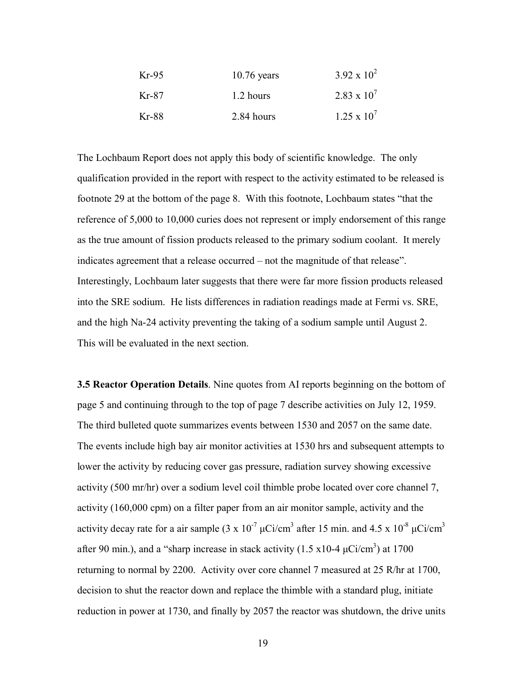| $Kr-95$ | $10.76$ years | $3.92 \times 10^{2}$ |
|---------|---------------|----------------------|
| Kr-87   | 1.2 hours     | $2.83 \times 10^{7}$ |
| Kr-88   | 2.84 hours    | $1.25 \times 10^{7}$ |

The Lochbaum Report does not apply this body of scientific knowledge. The only qualification provided in the report with respect to the activity estimated to be released is footnote 29 at the bottom of the page 8. With this footnote, Lochbaum states "that the reference of 5,000 to 10,000 curies does not represent or imply endorsement of this range as the true amount of fission products released to the primary sodium coolant. It merely indicates agreement that a release occurred – not the magnitude of that release". Interestingly, Lochbaum later suggests that there were far more fission products released into the SRE sodium. He lists differences in radiation readings made at Fermi vs. SRE, and the high Na-24 activity preventing the taking of a sodium sample until August 2. This will be evaluated in the next section.

**3.5 Reactor Operation Details**. Nine quotes from AI reports beginning on the bottom of page 5 and continuing through to the top of page 7 describe activities on July 12, 1959. The third bulleted quote summarizes events between 1530 and 2057 on the same date. The events include high bay air monitor activities at 1530 hrs and subsequent attempts to lower the activity by reducing cover gas pressure, radiation survey showing excessive activity (500 mr/hr) over a sodium level coil thimble probe located over core channel 7, activity (160,000 cpm) on a filter paper from an air monitor sample, activity and the activity decay rate for a air sample  $(3 \times 10^{-7} \mu C i/cm^3$  after 15 min. and 4.5 x  $10^{-8} \mu C i/cm^3$ after 90 min.), and a "sharp increase in stack activity  $(1.5 \times 10^{-4} \mu C i/cm^3)$  at 1700 returning to normal by 2200. Activity over core channel 7 measured at 25 R/hr at 1700, decision to shut the reactor down and replace the thimble with a standard plug, initiate reduction in power at 1730, and finally by 2057 the reactor was shutdown, the drive units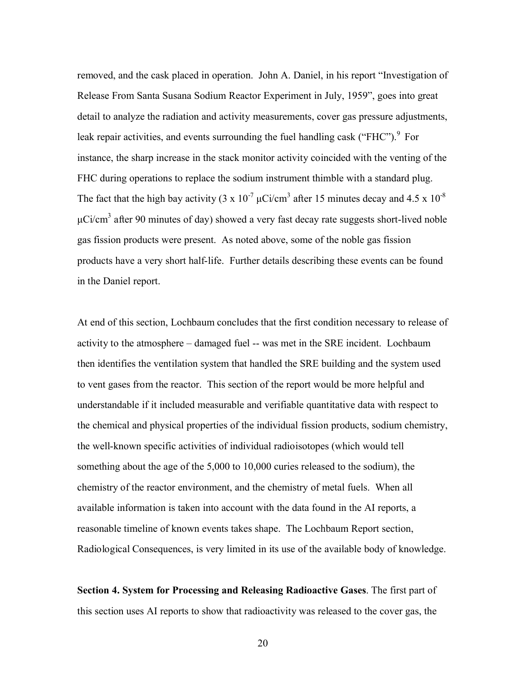removed, and the cask placed in operation. John A. Daniel, in his report "Investigation of Release From Santa Susana Sodium Reactor Experiment in July, 1959", goes into great detail to analyze the radiation and activity measurements, cover gas pressure adjustments, leak repair activities, and events surrounding the fuel handling cask ("FHC").<sup>9</sup> For instance, the sharp increase in the stack monitor activity coincided with the venting of the FHC during operations to replace the sodium instrument thimble with a standard plug. The fact that the high bay activity (3 x  $10^{-7} \mu$ Ci/cm<sup>3</sup> after 15 minutes decay and 4.5 x  $10^{-8}$  $\mu$ Ci/cm<sup>3</sup> after 90 minutes of day) showed a very fast decay rate suggests short-lived noble gas fission products were present. As noted above, some of the noble gas fission products have a very short half-life. Further details describing these events can be found in the Daniel report.

At end of this section, Lochbaum concludes that the first condition necessary to release of activity to the atmosphere – damaged fuel -- was met in the SRE incident. Lochbaum then identifies the ventilation system that handled the SRE building and the system used to vent gases from the reactor. This section of the report would be more helpful and understandable if it included measurable and verifiable quantitative data with respect to the chemical and physical properties of the individual fission products, sodium chemistry, the well-known specific activities of individual radioisotopes (which would tell something about the age of the 5,000 to 10,000 curies released to the sodium), the chemistry of the reactor environment, and the chemistry of metal fuels. When all available information is taken into account with the data found in the AI reports, a reasonable timeline of known events takes shape. The Lochbaum Report section, Radiological Consequences, is very limited in its use of the available body of knowledge.

**Section 4. System for Processing and Releasing Radioactive Gases**. The first part of this section uses AI reports to show that radioactivity was released to the cover gas, the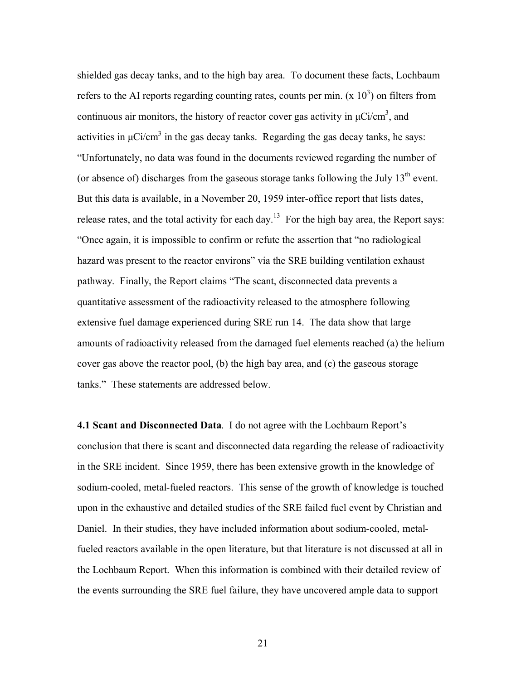shielded gas decay tanks, and to the high bay area. To document these facts, Lochbaum refers to the AI reports regarding counting rates, counts per min.  $(x 10^3)$  on filters from continuous air monitors, the history of reactor cover gas activity in  $\mu$ Ci/cm<sup>3</sup>, and activities in  $\mu$ Ci/cm<sup>3</sup> in the gas decay tanks. Regarding the gas decay tanks, he says: "Unfortunately, no data was found in the documents reviewed regarding the number of (or absence of) discharges from the gaseous storage tanks following the July  $13<sup>th</sup>$  event. But this data is available, in a November 20, 1959 inter-office report that lists dates, release rates, and the total activity for each day.<sup>13</sup> For the high bay area, the Report says: "Once again, it is impossible to confirm or refute the assertion that "no radiological hazard was present to the reactor environs" via the SRE building ventilation exhaust pathway. Finally, the Report claims "The scant, disconnected data prevents a quantitative assessment of the radioactivity released to the atmosphere following extensive fuel damage experienced during SRE run 14. The data show that large amounts of radioactivity released from the damaged fuel elements reached (a) the helium cover gas above the reactor pool, (b) the high bay area, and (c) the gaseous storage tanks." These statements are addressed below.

**4.1 Scant and Disconnected Data**. I do not agree with the Lochbaum Report's conclusion that there is scant and disconnected data regarding the release of radioactivity in the SRE incident. Since 1959, there has been extensive growth in the knowledge of sodium-cooled, metal-fueled reactors. This sense of the growth of knowledge is touched upon in the exhaustive and detailed studies of the SRE failed fuel event by Christian and Daniel. In their studies, they have included information about sodium-cooled, metalfueled reactors available in the open literature, but that literature is not discussed at all in the Lochbaum Report. When this information is combined with their detailed review of the events surrounding the SRE fuel failure, they have uncovered ample data to support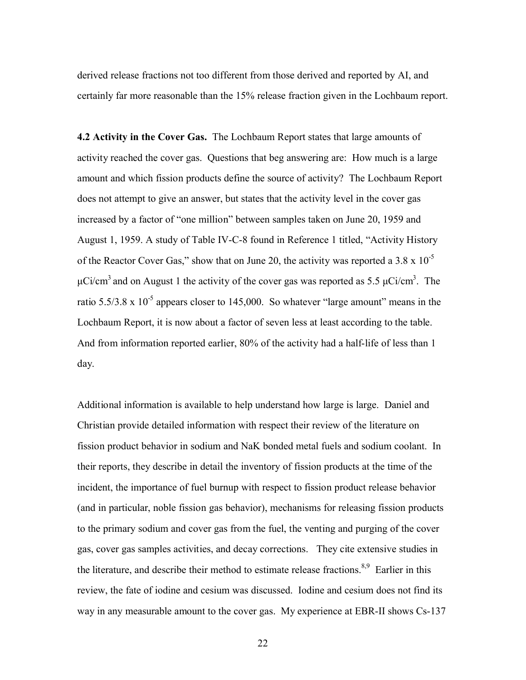derived release fractions not too different from those derived and reported by AI, and certainly far more reasonable than the 15% release fraction given in the Lochbaum report.

**4.2 Activity in the Cover Gas.** The Lochbaum Report states that large amounts of activity reached the cover gas. Questions that beg answering are: How much is a large amount and which fission products define the source of activity? The Lochbaum Report does not attempt to give an answer, but states that the activity level in the cover gas increased by a factor of "one million" between samples taken on June 20, 1959 and August 1, 1959. A study of Table IV-C-8 found in Reference 1 titled, "Activity History of the Reactor Cover Gas," show that on June 20, the activity was reported a 3.8 x  $10^{-5}$ μCi/cm<sup>3</sup> and on August 1 the activity of the cover gas was reported as 5.5 μCi/cm<sup>3</sup>. The ratio 5.5/3.8 x  $10^{-5}$  appears closer to 145,000. So whatever "large amount" means in the Lochbaum Report, it is now about a factor of seven less at least according to the table. And from information reported earlier, 80% of the activity had a half-life of less than 1 day.

Additional information is available to help understand how large is large. Daniel and Christian provide detailed information with respect their review of the literature on fission product behavior in sodium and NaK bonded metal fuels and sodium coolant. In their reports, they describe in detail the inventory of fission products at the time of the incident, the importance of fuel burnup with respect to fission product release behavior (and in particular, noble fission gas behavior), mechanisms for releasing fission products to the primary sodium and cover gas from the fuel, the venting and purging of the cover gas, cover gas samples activities, and decay corrections. They cite extensive studies in the literature, and describe their method to estimate release fractions.<sup>8,9</sup> Earlier in this review, the fate of iodine and cesium was discussed. Iodine and cesium does not find its way in any measurable amount to the cover gas. My experience at EBR-II shows Cs-137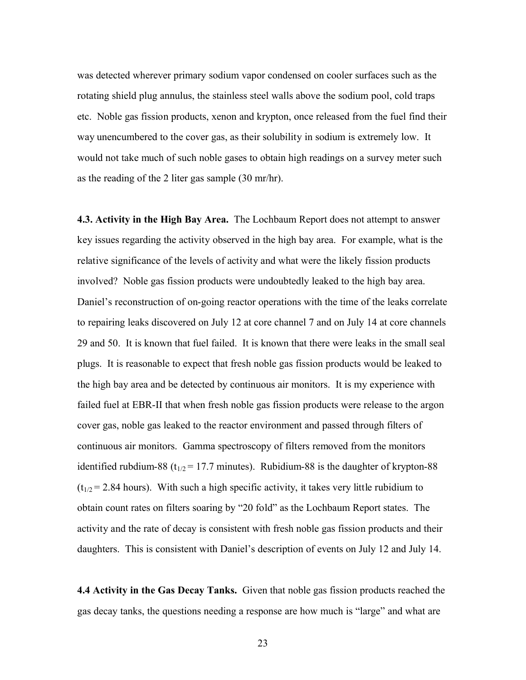was detected wherever primary sodium vapor condensed on cooler surfaces such as the rotating shield plug annulus, the stainless steel walls above the sodium pool, cold traps etc. Noble gas fission products, xenon and krypton, once released from the fuel find their way unencumbered to the cover gas, as their solubility in sodium is extremely low. It would not take much of such noble gases to obtain high readings on a survey meter such as the reading of the 2 liter gas sample (30 mr/hr).

**4.3. Activity in the High Bay Area.** The Lochbaum Report does not attempt to answer key issues regarding the activity observed in the high bay area. For example, what is the relative significance of the levels of activity and what were the likely fission products involved? Noble gas fission products were undoubtedly leaked to the high bay area. Daniel's reconstruction of on-going reactor operations with the time of the leaks correlate to repairing leaks discovered on July 12 at core channel 7 and on July 14 at core channels 29 and 50. It is known that fuel failed. It is known that there were leaks in the small seal plugs. It is reasonable to expect that fresh noble gas fission products would be leaked to the high bay area and be detected by continuous air monitors. It is my experience with failed fuel at EBR-II that when fresh noble gas fission products were release to the argon cover gas, noble gas leaked to the reactor environment and passed through filters of continuous air monitors. Gamma spectroscopy of filters removed from the monitors identified rubdium-88 ( $t_{1/2}$  = 17.7 minutes). Rubidium-88 is the daughter of krypton-88  $(t_{1/2} = 2.84$  hours). With such a high specific activity, it takes very little rubidium to obtain count rates on filters soaring by "20 fold" as the Lochbaum Report states. The activity and the rate of decay is consistent with fresh noble gas fission products and their daughters. This is consistent with Daniel's description of events on July 12 and July 14.

**4.4 Activity in the Gas Decay Tanks.** Given that noble gas fission products reached the gas decay tanks, the questions needing a response are how much is "large" and what are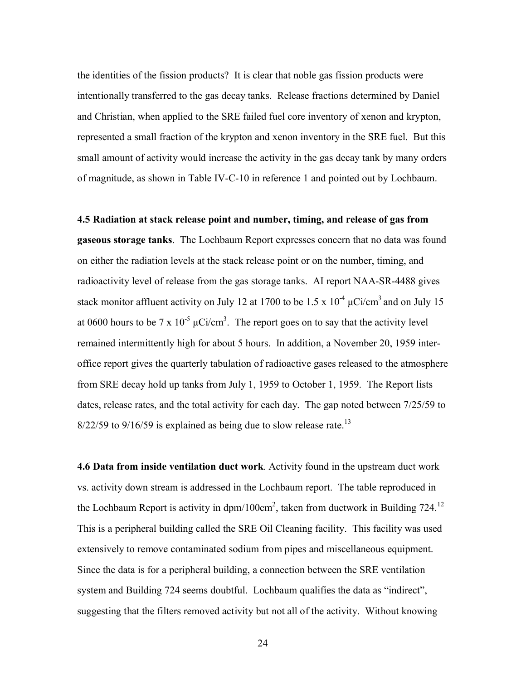the identities of the fission products? It is clear that noble gas fission products were intentionally transferred to the gas decay tanks. Release fractions determined by Daniel and Christian, when applied to the SRE failed fuel core inventory of xenon and krypton, represented a small fraction of the krypton and xenon inventory in the SRE fuel. But this small amount of activity would increase the activity in the gas decay tank by many orders of magnitude, as shown in Table IV-C-10 in reference 1 and pointed out by Lochbaum.

**4.5 Radiation at stack release point and number, timing, and release of gas from gaseous storage tanks**. The Lochbaum Report expresses concern that no data was found on either the radiation levels at the stack release point or on the number, timing, and radioactivity level of release from the gas storage tanks. AI report NAA-SR-4488 gives stack monitor affluent activity on July 12 at 1700 to be 1.5 x  $10^{-4}$   $\mu$ Ci/cm<sup>3</sup> and on July 15 at 0600 hours to be 7 x  $10^{-5}$   $\mu$ Ci/cm<sup>3</sup>. The report goes on to say that the activity level remained intermittently high for about 5 hours. In addition, a November 20, 1959 interoffice report gives the quarterly tabulation of radioactive gases released to the atmosphere from SRE decay hold up tanks from July 1, 1959 to October 1, 1959. The Report lists dates, release rates, and the total activity for each day. The gap noted between 7/25/59 to  $8/22/59$  to  $9/16/59$  is explained as being due to slow release rate.<sup>13</sup>

**4.6 Data from inside ventilation duct work**. Activity found in the upstream duct work vs. activity down stream is addressed in the Lochbaum report. The table reproduced in the Lochbaum Report is activity in  $dpm/100 \text{cm}^2$ , taken from ductwork in Building 724.<sup>12</sup> This is a peripheral building called the SRE Oil Cleaning facility. This facility was used extensively to remove contaminated sodium from pipes and miscellaneous equipment. Since the data is for a peripheral building, a connection between the SRE ventilation system and Building 724 seems doubtful. Lochbaum qualifies the data as "indirect", suggesting that the filters removed activity but not all of the activity. Without knowing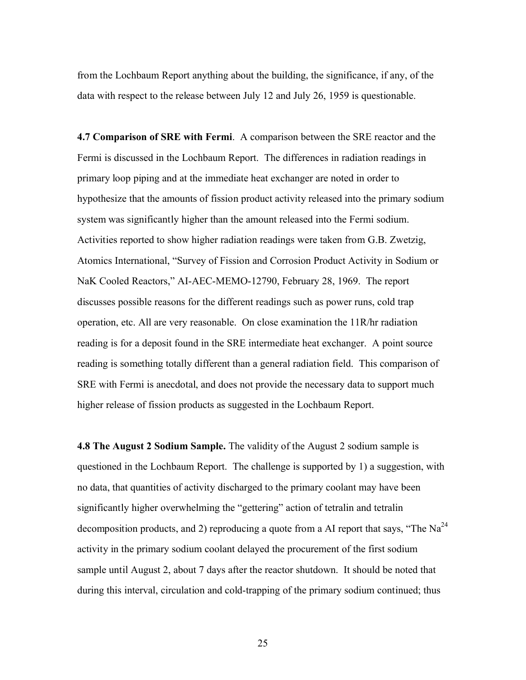from the Lochbaum Report anything about the building, the significance, if any, of the data with respect to the release between July 12 and July 26, 1959 is questionable.

**4.7 Comparison of SRE with Fermi**. A comparison between the SRE reactor and the Fermi is discussed in the Lochbaum Report. The differences in radiation readings in primary loop piping and at the immediate heat exchanger are noted in order to hypothesize that the amounts of fission product activity released into the primary sodium system was significantly higher than the amount released into the Fermi sodium. Activities reported to show higher radiation readings were taken from G.B. Zwetzig, Atomics International, "Survey of Fission and Corrosion Product Activity in Sodium or NaK Cooled Reactors," AI-AEC-MEMO-12790, February 28, 1969. The report discusses possible reasons for the different readings such as power runs, cold trap operation, etc. All are very reasonable. On close examination the 11R/hr radiation reading is for a deposit found in the SRE intermediate heat exchanger. A point source reading is something totally different than a general radiation field. This comparison of SRE with Fermi is anecdotal, and does not provide the necessary data to support much higher release of fission products as suggested in the Lochbaum Report.

**4.8 The August 2 Sodium Sample.** The validity of the August 2 sodium sample is questioned in the Lochbaum Report. The challenge is supported by 1) a suggestion, with no data, that quantities of activity discharged to the primary coolant may have been significantly higher overwhelming the "gettering" action of tetralin and tetralin decomposition products, and 2) reproducing a quote from a AI report that says, "The  $Na^{24}$ activity in the primary sodium coolant delayed the procurement of the first sodium sample until August 2, about 7 days after the reactor shutdown. It should be noted that during this interval, circulation and cold-trapping of the primary sodium continued; thus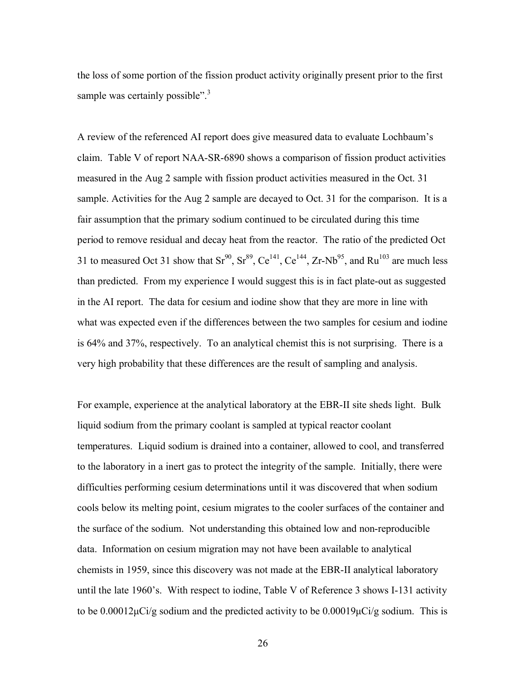the loss of some portion of the fission product activity originally present prior to the first sample was certainly possible".<sup>3</sup>

A review of the referenced AI report does give measured data to evaluate Lochbaum's claim. Table V of report NAA-SR-6890 shows a comparison of fission product activities measured in the Aug 2 sample with fission product activities measured in the Oct. 31 sample. Activities for the Aug 2 sample are decayed to Oct. 31 for the comparison. It is a fair assumption that the primary sodium continued to be circulated during this time period to remove residual and decay heat from the reactor. The ratio of the predicted Oct 31 to measured Oct 31 show that  $Sr^{90}$ ,  $Sr^{89}$ ,  $Ce^{141}$ ,  $Ce^{144}$ ,  $Zr-Nb^{95}$ , and  $Ru^{103}$  are much less than predicted. From my experience I would suggest this is in fact plate-out as suggested in the AI report. The data for cesium and iodine show that they are more in line with what was expected even if the differences between the two samples for cesium and iodine is 64% and 37%, respectively. To an analytical chemist this is not surprising. There is a very high probability that these differences are the result of sampling and analysis.

For example, experience at the analytical laboratory at the EBR-II site sheds light. Bulk liquid sodium from the primary coolant is sampled at typical reactor coolant temperatures. Liquid sodium is drained into a container, allowed to cool, and transferred to the laboratory in a inert gas to protect the integrity of the sample. Initially, there were difficulties performing cesium determinations until it was discovered that when sodium cools below its melting point, cesium migrates to the cooler surfaces of the container and the surface of the sodium. Not understanding this obtained low and non-reproducible data. Information on cesium migration may not have been available to analytical chemists in 1959, since this discovery was not made at the EBR-II analytical laboratory until the late 1960's. With respect to iodine, Table V of Reference 3 shows I-131 activity to be  $0.00012\mu\text{Ci/g}$  sodium and the predicted activity to be  $0.00019\mu\text{Ci/g}$  sodium. This is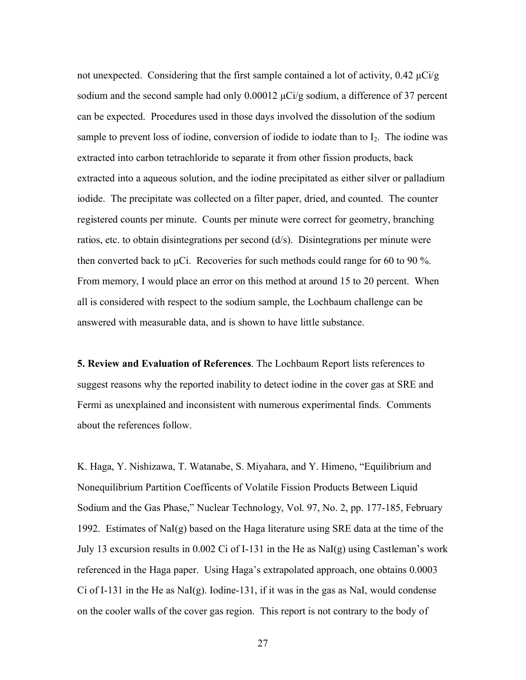not unexpected. Considering that the first sample contained a lot of activity,  $0.42 \mu \text{Ci/g}$ sodium and the second sample had only 0.00012 μCi/g sodium, a difference of 37 percent can be expected. Procedures used in those days involved the dissolution of the sodium sample to prevent loss of iodine, conversion of iodide to iodate than to  $I_2$ . The iodine was extracted into carbon tetrachloride to separate it from other fission products, back extracted into a aqueous solution, and the iodine precipitated as either silver or palladium iodide. The precipitate was collected on a filter paper, dried, and counted. The counter registered counts per minute. Counts per minute were correct for geometry, branching ratios, etc. to obtain disintegrations per second (d/s). Disintegrations per minute were then converted back to  $\mu$ Ci. Recoveries for such methods could range for 60 to 90 %. From memory, I would place an error on this method at around 15 to 20 percent. When all is considered with respect to the sodium sample, the Lochbaum challenge can be answered with measurable data, and is shown to have little substance.

**5. Review and Evaluation of References**. The Lochbaum Report lists references to suggest reasons why the reported inability to detect iodine in the cover gas at SRE and Fermi as unexplained and inconsistent with numerous experimental finds. Comments about the references follow.

K. Haga, Y. Nishizawa, T. Watanabe, S. Miyahara, and Y. Himeno, "Equilibrium and Nonequilibrium Partition Coefficents of Volatile Fission Products Between Liquid Sodium and the Gas Phase," Nuclear Technology, Vol. 97, No. 2, pp. 177-185, February 1992. Estimates of NaI(g) based on the Haga literature using SRE data at the time of the July 13 excursion results in 0.002 Ci of I-131 in the He as NaI(g) using Castleman's work referenced in the Haga paper. Using Haga's extrapolated approach, one obtains 0.0003 Ci of I-131 in the He as NaI $(g)$ . Iodine-131, if it was in the gas as NaI, would condense on the cooler walls of the cover gas region. This report is not contrary to the body of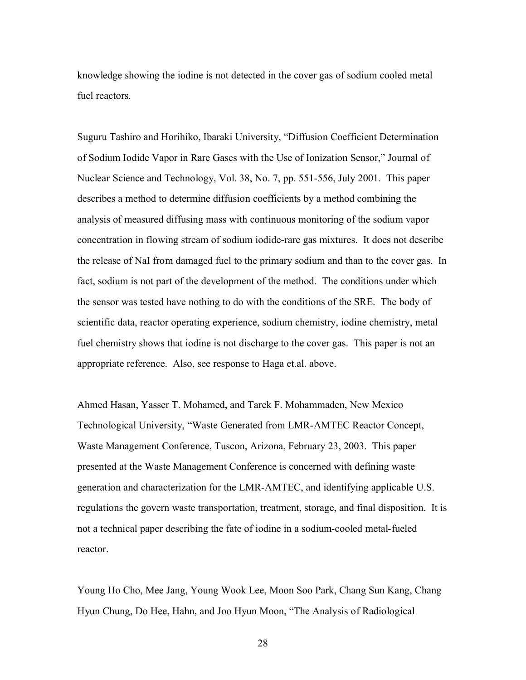knowledge showing the iodine is not detected in the cover gas of sodium cooled metal fuel reactors.

Suguru Tashiro and Horihiko, Ibaraki University, "Diffusion Coefficient Determination of Sodium Iodide Vapor in Rare Gases with the Use of Ionization Sensor," Journal of Nuclear Science and Technology, Vol. 38, No. 7, pp. 551-556, July 2001. This paper describes a method to determine diffusion coefficients by a method combining the analysis of measured diffusing mass with continuous monitoring of the sodium vapor concentration in flowing stream of sodium iodide-rare gas mixtures. It does not describe the release of NaI from damaged fuel to the primary sodium and than to the cover gas. In fact, sodium is not part of the development of the method. The conditions under which the sensor was tested have nothing to do with the conditions of the SRE. The body of scientific data, reactor operating experience, sodium chemistry, iodine chemistry, metal fuel chemistry shows that iodine is not discharge to the cover gas. This paper is not an appropriate reference. Also, see response to Haga et.al. above.

Ahmed Hasan, Yasser T. Mohamed, and Tarek F. Mohammaden, New Mexico Technological University, "Waste Generated from LMR-AMTEC Reactor Concept, Waste Management Conference, Tuscon, Arizona, February 23, 2003. This paper presented at the Waste Management Conference is concerned with defining waste generation and characterization for the LMR-AMTEC, and identifying applicable U.S. regulations the govern waste transportation, treatment, storage, and final disposition. It is not a technical paper describing the fate of iodine in a sodium-cooled metal-fueled reactor.

Young Ho Cho, Mee Jang, Young Wook Lee, Moon Soo Park, Chang Sun Kang, Chang Hyun Chung, Do Hee, Hahn, and Joo Hyun Moon, "The Analysis of Radiological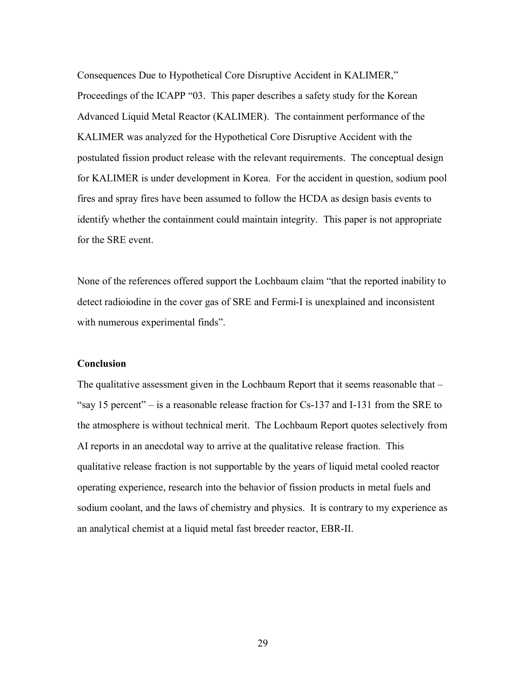Consequences Due to Hypothetical Core Disruptive Accident in KALIMER," Proceedings of the ICAPP "03. This paper describes a safety study for the Korean Advanced Liquid Metal Reactor (KALIMER). The containment performance of the KALIMER was analyzed for the Hypothetical Core Disruptive Accident with the postulated fission product release with the relevant requirements. The conceptual design for KALIMER is under development in Korea. For the accident in question, sodium pool fires and spray fires have been assumed to follow the HCDA as design basis events to identify whether the containment could maintain integrity. This paper is not appropriate for the SRE event.

None of the references offered support the Lochbaum claim "that the reported inability to detect radioiodine in the cover gas of SRE and Fermi-I is unexplained and inconsistent with numerous experimental finds".

# **Conclusion**

The qualitative assessment given in the Lochbaum Report that it seems reasonable that – "say 15 percent" – is a reasonable release fraction for Cs-137 and I-131 from the SRE to the atmosphere is without technical merit. The Lochbaum Report quotes selectively from AI reports in an anecdotal way to arrive at the qualitative release fraction. This qualitative release fraction is not supportable by the years of liquid metal cooled reactor operating experience, research into the behavior of fission products in metal fuels and sodium coolant, and the laws of chemistry and physics. It is contrary to my experience as an analytical chemist at a liquid metal fast breeder reactor, EBR-II.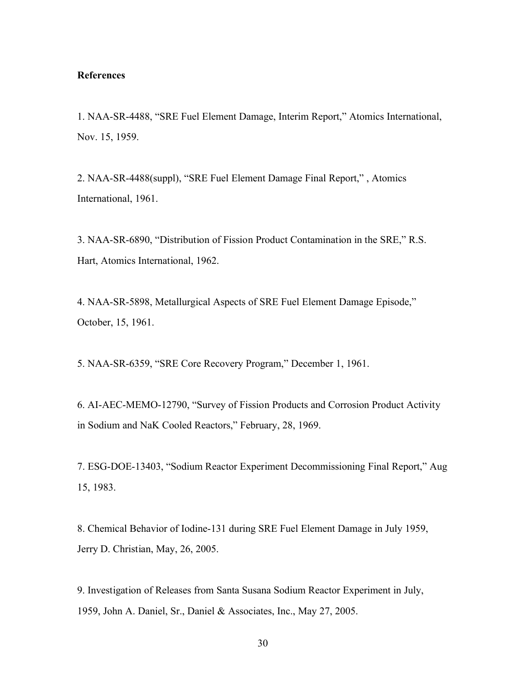#### **References**

1. NAA-SR-4488, "SRE Fuel Element Damage, Interim Report," Atomics International, Nov. 15, 1959.

2. NAA-SR-4488(suppl), "SRE Fuel Element Damage Final Report," , Atomics International, 1961.

3. NAA-SR-6890, "Distribution of Fission Product Contamination in the SRE," R.S. Hart, Atomics International, 1962.

4. NAA-SR-5898, Metallurgical Aspects of SRE Fuel Element Damage Episode," October, 15, 1961.

5. NAA-SR-6359, "SRE Core Recovery Program," December 1, 1961.

6. AI-AEC-MEMO-12790, "Survey of Fission Products and Corrosion Product Activity in Sodium and NaK Cooled Reactors," February, 28, 1969.

7. ESG-DOE-13403, "Sodium Reactor Experiment Decommissioning Final Report," Aug 15, 1983.

8. Chemical Behavior of Iodine-131 during SRE Fuel Element Damage in July 1959, Jerry D. Christian, May, 26, 2005.

9. Investigation of Releases from Santa Susana Sodium Reactor Experiment in July, 1959, John A. Daniel, Sr., Daniel & Associates, Inc., May 27, 2005.